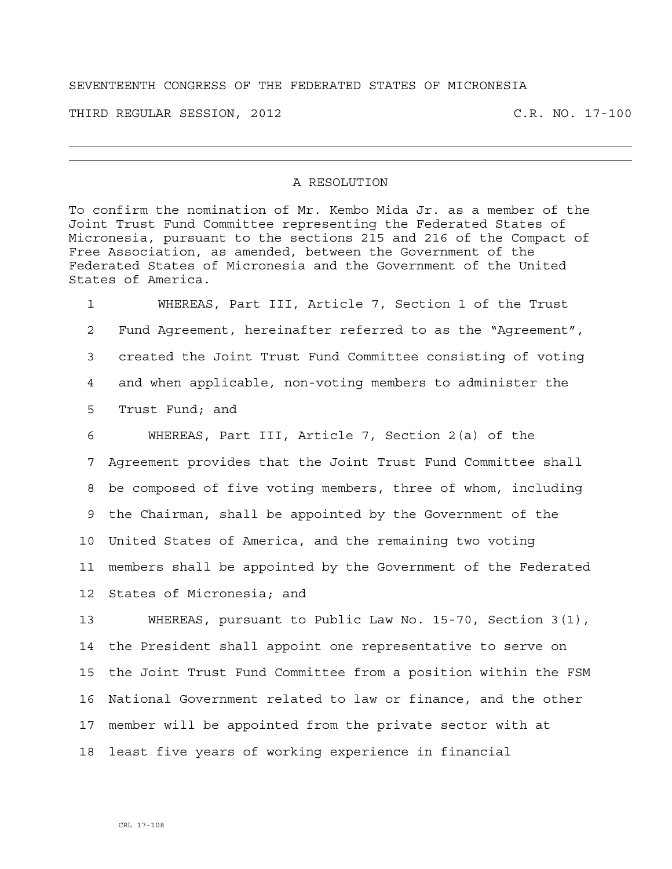## SEVENTEENTH CONGRESS OF THE FEDERATED STATES OF MICRONESIA

THIRD REGULAR SESSION, 2012 C.R. NO. 17-100

## A RESOLUTION

To confirm the nomination of Mr. Kembo Mida Jr. as a member of the Joint Trust Fund Committee representing the Federated States of Micronesia, pursuant to the sections 215 and 216 of the Compact of Free Association, as amended, between the Government of the Federated States of Micronesia and the Government of the United States of America.

1 WHEREAS, Part III, Article 7, Section 1 of the Trust 2 Fund Agreement, hereinafter referred to as the "Agreement", 3 created the Joint Trust Fund Committee consisting of voting 4 and when applicable, non-voting members to administer the 5 Trust Fund; and

6 WHEREAS, Part III, Article 7, Section 2(a) of the 7 Agreement provides that the Joint Trust Fund Committee shall 8 be composed of five voting members, three of whom, including 9 the Chairman, shall be appointed by the Government of the 10 United States of America, and the remaining two voting 11 members shall be appointed by the Government of the Federated 12 States of Micronesia; and

13 WHEREAS, pursuant to Public Law No. 15-70, Section 3(1), 14 the President shall appoint one representative to serve on 15 the Joint Trust Fund Committee from a position within the FSM 16 National Government related to law or finance, and the other 17 member will be appointed from the private sector with at 18 least five years of working experience in financial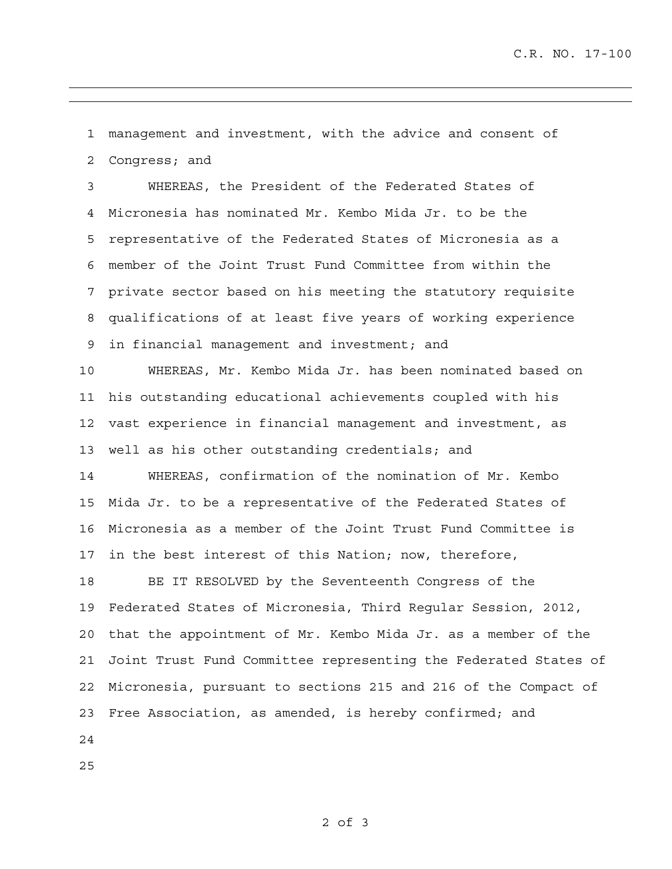1 management and investment, with the advice and consent of 2 Congress; and

3 WHEREAS, the President of the Federated States of 4 Micronesia has nominated Mr. Kembo Mida Jr. to be the 5 representative of the Federated States of Micronesia as a 6 member of the Joint Trust Fund Committee from within the 7 private sector based on his meeting the statutory requisite 8 qualifications of at least five years of working experience 9 in financial management and investment; and

10 WHEREAS, Mr. Kembo Mida Jr. has been nominated based on 11 his outstanding educational achievements coupled with his 12 vast experience in financial management and investment, as 13 well as his other outstanding credentials; and

14 WHEREAS, confirmation of the nomination of Mr. Kembo 15 Mida Jr. to be a representative of the Federated States of 16 Micronesia as a member of the Joint Trust Fund Committee is 17 in the best interest of this Nation; now, therefore,

18 BE IT RESOLVED by the Seventeenth Congress of the 19 Federated States of Micronesia, Third Regular Session, 2012, 20 that the appointment of Mr. Kembo Mida Jr. as a member of the 21 Joint Trust Fund Committee representing the Federated States of 22 Micronesia, pursuant to sections 215 and 216 of the Compact of 23 Free Association, as amended, is hereby confirmed; and

24

25